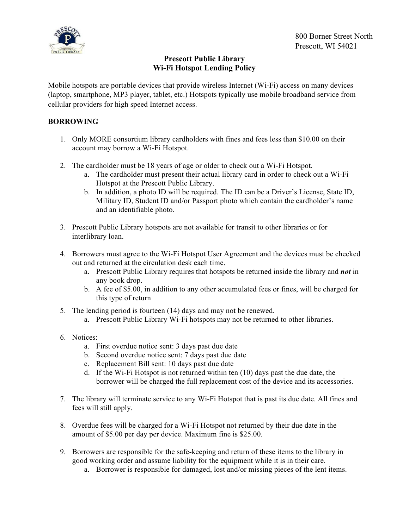

## **Prescott Public Library Wi-Fi Hotspot Lending Policy**

Mobile hotspots are portable devices that provide wireless Internet (Wi-Fi) access on many devices (laptop, smartphone, MP3 player, tablet, etc.) Hotspots typically use mobile broadband service from cellular providers for high speed Internet access.

## **BORROWING**

- 1. Only MORE consortium library cardholders with fines and fees less than \$10.00 on their account may borrow a Wi-Fi Hotspot.
- 2. The cardholder must be 18 years of age or older to check out a Wi-Fi Hotspot.
	- a. The cardholder must present their actual library card in order to check out a Wi-Fi Hotspot at the Prescott Public Library.
	- b. In addition, a photo ID will be required. The ID can be a Driver's License, State ID, Military ID, Student ID and/or Passport photo which contain the cardholder's name and an identifiable photo.
- 3. Prescott Public Library hotspots are not available for transit to other libraries or for interlibrary loan.
- 4. Borrowers must agree to the Wi-Fi Hotspot User Agreement and the devices must be checked out and returned at the circulation desk each time.
	- a. Prescott Public Library requires that hotspots be returned inside the library and *not* in any book drop.
	- b. A fee of \$5.00, in addition to any other accumulated fees or fines, will be charged for this type of return
- 5. The lending period is fourteen (14) days and may not be renewed.
	- a. Prescott Public Library Wi-Fi hotspots may not be returned to other libraries.
- 6. Notices:
	- a. First overdue notice sent: 3 days past due date
	- b. Second overdue notice sent: 7 days past due date
	- c. Replacement Bill sent: 10 days past due date
	- d. If the Wi-Fi Hotspot is not returned within ten (10) days past the due date, the borrower will be charged the full replacement cost of the device and its accessories.
- 7. The library will terminate service to any Wi-Fi Hotspot that is past its due date. All fines and fees will still apply.
- 8. Overdue fees will be charged for a Wi-Fi Hotspot not returned by their due date in the amount of \$5.00 per day per device. Maximum fine is \$25.00.
- 9. Borrowers are responsible for the safe-keeping and return of these items to the library in good working order and assume liability for the equipment while it is in their care.
	- a. Borrower is responsible for damaged, lost and/or missing pieces of the lent items.